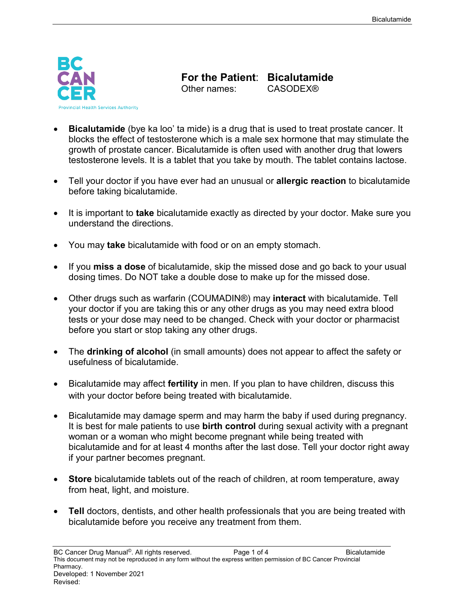

**For the Patient: Bicalutamide**<br>Other names: CASODEX®

Other names:

- **Bicalutamide** (bye ka loo' ta mide) is a drug that is used to treat prostate cancer. It blocks the effect of testosterone which is a male sex hormone that may stimulate the growth of prostate cancer. Bicalutamide is often used with another drug that lowers testosterone levels. It is a tablet that you take by mouth. The tablet contains lactose.
- Tell your doctor if you have ever had an unusual or **allergic reaction** to bicalutamide before taking bicalutamide.
- It is important to **take** bicalutamide exactly as directed by your doctor. Make sure you understand the directions.
- You may **take** bicalutamide with food or on an empty stomach.
- If you **miss a dose** of bicalutamide, skip the missed dose and go back to your usual dosing times. Do NOT take a double dose to make up for the missed dose.
- Other drugs such as warfarin (COUMADIN®) may **interact** with bicalutamide. Tell your doctor if you are taking this or any other drugs as you may need extra blood tests or your dose may need to be changed. Check with your doctor or pharmacist before you start or stop taking any other drugs.
- The **drinking of alcohol** (in small amounts) does not appear to affect the safety or usefulness of bicalutamide.
- Bicalutamide may affect **fertility** in men. If you plan to have children, discuss this with your doctor before being treated with bicalutamide.
- Bicalutamide may damage sperm and may harm the baby if used during pregnancy. It is best for male patients to use **birth control** during sexual activity with a pregnant woman or a woman who might become pregnant while being treated with bicalutamide and for at least 4 months after the last dose. Tell your doctor right away if your partner becomes pregnant.
- **Store** bicalutamide tablets out of the reach of children, at room temperature, away from heat, light, and moisture.
- **Tell** doctors, dentists, and other health professionals that you are being treated with bicalutamide before you receive any treatment from them.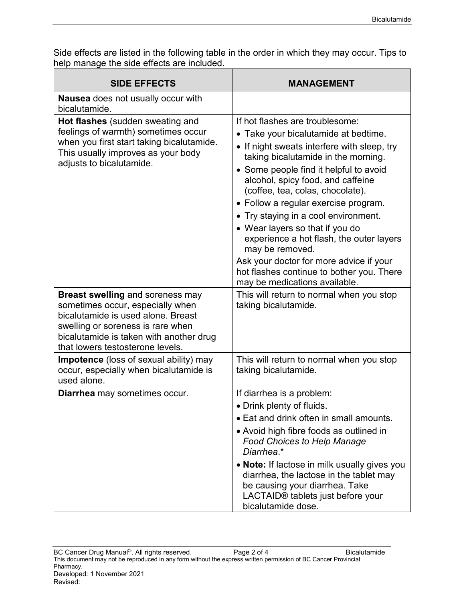Side effects are listed in the following table in the order in which they may occur. Tips to help manage the side effects are included.

| <b>SIDE EFFECTS</b>                                                                                                                                                                                                                   | <b>MANAGEMENT</b>                                                                                                                                                                                                                                                                                                                                                                                                                                                                                                                                                                         |
|---------------------------------------------------------------------------------------------------------------------------------------------------------------------------------------------------------------------------------------|-------------------------------------------------------------------------------------------------------------------------------------------------------------------------------------------------------------------------------------------------------------------------------------------------------------------------------------------------------------------------------------------------------------------------------------------------------------------------------------------------------------------------------------------------------------------------------------------|
| Nausea does not usually occur with<br>bicalutamide.                                                                                                                                                                                   |                                                                                                                                                                                                                                                                                                                                                                                                                                                                                                                                                                                           |
| Hot flashes (sudden sweating and<br>feelings of warmth) sometimes occur<br>when you first start taking bicalutamide.<br>This usually improves as your body<br>adjusts to bicalutamide.                                                | If hot flashes are troublesome:<br>• Take your bicalutamide at bedtime.<br>If night sweats interfere with sleep, try<br>taking bicalutamide in the morning.<br>• Some people find it helpful to avoid<br>alcohol, spicy food, and caffeine<br>(coffee, tea, colas, chocolate).<br>• Follow a regular exercise program.<br>• Try staying in a cool environment.<br>• Wear layers so that if you do<br>experience a hot flash, the outer layers<br>may be removed.<br>Ask your doctor for more advice if your<br>hot flashes continue to bother you. There<br>may be medications available. |
| <b>Breast swelling and soreness may</b><br>sometimes occur, especially when<br>bicalutamide is used alone. Breast<br>swelling or soreness is rare when<br>bicalutamide is taken with another drug<br>that lowers testosterone levels. | This will return to normal when you stop<br>taking bicalutamide.                                                                                                                                                                                                                                                                                                                                                                                                                                                                                                                          |
| Impotence (loss of sexual ability) may<br>occur, especially when bicalutamide is<br>used alone.                                                                                                                                       | This will return to normal when you stop<br>taking bicalutamide.                                                                                                                                                                                                                                                                                                                                                                                                                                                                                                                          |
| Diarrhea may sometimes occur.                                                                                                                                                                                                         | If diarrhea is a problem:<br>• Drink plenty of fluids.<br>• Eat and drink often in small amounts.<br>• Avoid high fibre foods as outlined in<br><b>Food Choices to Help Manage</b><br>Diarrhea.*<br>• Note: If lactose in milk usually gives you<br>diarrhea, the lactose in the tablet may<br>be causing your diarrhea. Take<br>LACTAID® tablets just before your<br>bicalutamide dose.                                                                                                                                                                                                  |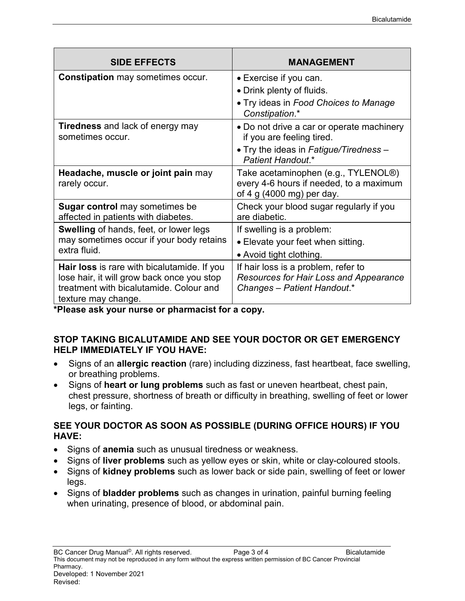| <b>SIDE EFFECTS</b>                                                                                                                                         | <b>MANAGEMENT</b>                                                                                            |
|-------------------------------------------------------------------------------------------------------------------------------------------------------------|--------------------------------------------------------------------------------------------------------------|
| <b>Constipation</b> may sometimes occur.                                                                                                                    | • Exercise if you can.                                                                                       |
|                                                                                                                                                             | • Drink plenty of fluids.                                                                                    |
|                                                                                                                                                             | • Try ideas in Food Choices to Manage<br>Constipation.*                                                      |
| <b>Tiredness</b> and lack of energy may<br>sometimes occur.                                                                                                 | • Do not drive a car or operate machinery<br>if you are feeling tired.                                       |
|                                                                                                                                                             | • Try the ideas in Fatigue/Tiredness -<br>Patient Handout.*                                                  |
| Headache, muscle or joint pain may<br>rarely occur.                                                                                                         | Take acetaminophen (e.g., TYLENOL®)<br>every 4-6 hours if needed, to a maximum<br>of 4 g (4000 mg) per day.  |
| <b>Sugar control</b> may sometimes be<br>affected in patients with diabetes.                                                                                | Check your blood sugar regularly if you<br>are diabetic.                                                     |
| <b>Swelling of hands, feet, or lower legs</b>                                                                                                               | If swelling is a problem:                                                                                    |
| may sometimes occur if your body retains<br>extra fluid.                                                                                                    | • Elevate your feet when sitting.                                                                            |
|                                                                                                                                                             | • Avoid tight clothing.                                                                                      |
| Hair loss is rare with bicalutamide. If you<br>lose hair, it will grow back once you stop<br>treatment with bicalutamide. Colour and<br>texture may change. | If hair loss is a problem, refer to<br>Resources for Hair Loss and Appearance<br>Changes - Patient Handout.* |

**\*Please ask your nurse or pharmacist for a copy.**

## **STOP TAKING BICALUTAMIDE AND SEE YOUR DOCTOR OR GET EMERGENCY HELP IMMEDIATELY IF YOU HAVE:**

- Signs of an **allergic reaction** (rare) including dizziness, fast heartbeat, face swelling, or breathing problems.
- Signs of **heart or lung problems** such as fast or uneven heartbeat, chest pain, chest pressure, shortness of breath or difficulty in breathing, swelling of feet or lower legs, or fainting.

## **SEE YOUR DOCTOR AS SOON AS POSSIBLE (DURING OFFICE HOURS) IF YOU HAVE:**

- Signs of **anemia** such as unusual tiredness or weakness.
- Signs of **liver problems** such as yellow eyes or skin, white or clay-coloured stools.
- Signs of **kidney problems** such as lower back or side pain, swelling of feet or lower legs.
- Signs of **bladder problems** such as changes in urination, painful burning feeling when urinating, presence of blood, or abdominal pain.